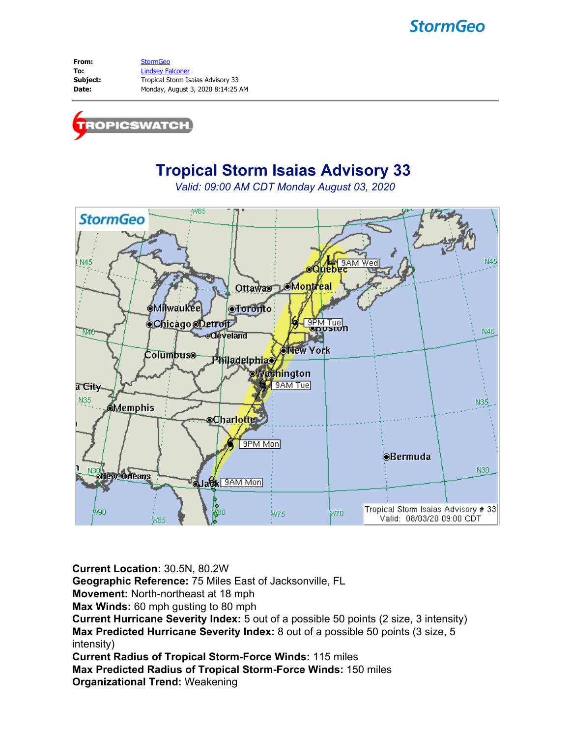# **StormGeo**

From: [StormGeo](mailto:tropicswatch@stormgeo.com) **To:** [Lindsey Falconer](mailto:Lindsey.Falconer@stormgeo.com) **Subject:** Tropical Storm Isaias Advisory 33 **Date:** Monday, August 3, 2020 8:14:25 AM



# **Tropical Storm Isaias Advisory 33**

*Valid: 09:00 AM CDT Monday August 03, 2020*



**Current Location:** 30.5N, 80.2W **Geographic Reference:** 75 Miles East of Jacksonville, FL **Movement:** North-northeast at 18 mph **Max Winds:** 60 mph gusting to 80 mph **Current Hurricane Severity Index:** 5 out of a possible 50 points (2 size, 3 intensity) **Max Predicted Hurricane Severity Index:** 8 out of a possible 50 points (3 size, 5 intensity) **Current Radius of Tropical Storm-Force Winds:** 115 miles **Max Predicted Radius of Tropical Storm-Force Winds:** 150 miles

**Organizational Trend:** Weakening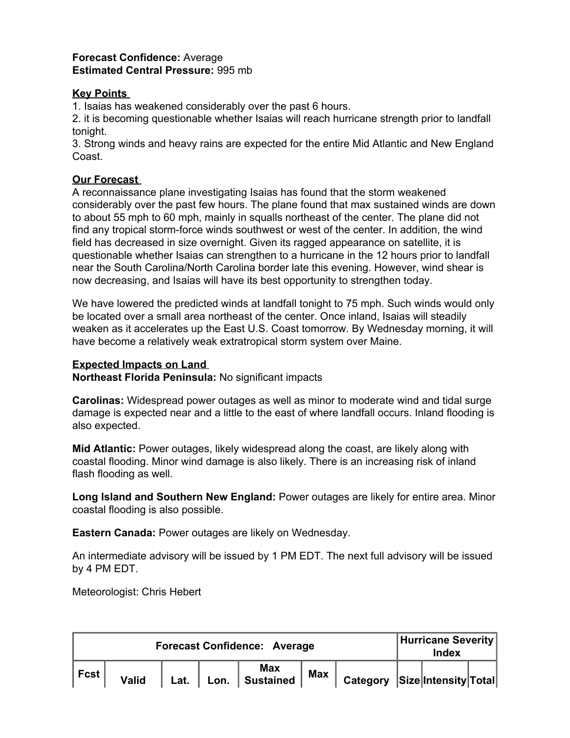#### **Forecast Confidence:** Average **Estimated Central Pressure:** 995 mb

#### **Key Points**

1. Isaias has weakened considerably over the past 6 hours.

2. it is becoming questionable whether Isaias will reach hurricane strength prior to landfall tonight.

3. Strong winds and heavy rains are expected for the entire Mid Atlantic and New England Coast.

## **Our Forecast**

A reconnaissance plane investigating Isaias has found that the storm weakened considerably over the past few hours. The plane found that max sustained winds are down to about 55 mph to 60 mph, mainly in squalls northeast of the center. The plane did not find any tropical storm-force winds southwest or west of the center. In addition, the wind field has decreased in size overnight. Given its ragged appearance on satellite, it is questionable whether Isaias can strengthen to a hurricane in the 12 hours prior to landfall near the South Carolina/North Carolina border late this evening. However, wind shear is now decreasing, and Isaias will have its best opportunity to strengthen today.

We have lowered the predicted winds at landfall tonight to 75 mph. Such winds would only be located over a small area northeast of the center. Once inland, Isaias will steadily weaken as it accelerates up the East U.S. Coast tomorrow. By Wednesday morning, it will have become a relatively weak extratropical storm system over Maine.

## **Expected Impacts on Land**

**Northeast Florida Peninsula:** No significant impacts

**Carolinas:** Widespread power outages as well as minor to moderate wind and tidal surge damage is expected near and a little to the east of where landfall occurs. Inland flooding is also expected.

**Mid Atlantic:** Power outages, likely widespread along the coast, are likely along with coastal flooding. Minor wind damage is also likely. There is an increasing risk of inland flash flooding as well.

**Long Island and Southern New England:** Power outages are likely for entire area. Minor coastal flooding is also possible.

**Eastern Canada:** Power outages are likely on Wednesday.

An intermediate advisory will be issued by 1 PM EDT. The next full advisory will be issued by 4 PM EDT.

Meteorologist: Chris Hebert

| <b>Forecast Confidence: Average</b> |              |      |      |                                |            |                               |  | Hurricane Severity<br>Index |  |  |
|-------------------------------------|--------------|------|------|--------------------------------|------------|-------------------------------|--|-----------------------------|--|--|
| ∣ Fcst                              | <b>Valid</b> | Lat. | Lon. | <b>Max</b><br><b>Sustained</b> | <b>Max</b> | Category Size Intensity Total |  |                             |  |  |